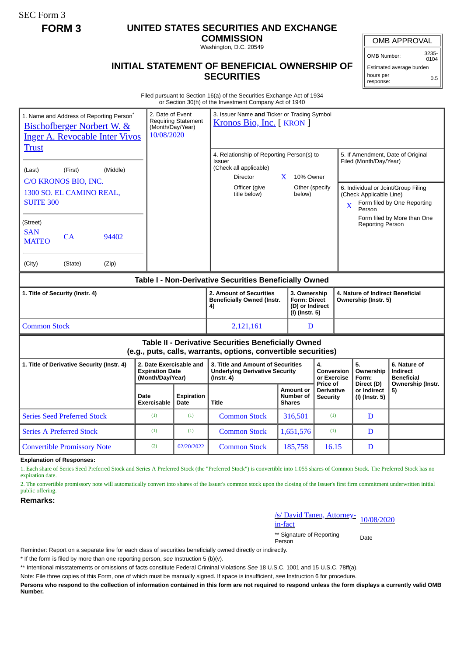SEC Form 3

## **FORM 3 UNITED STATES SECURITIES AND EXCHANGE**

**COMMISSION** Washington, D.C. 20549

# **INITIAL STATEMENT OF BENEFICIAL OWNERSHIP OF SECURITIES**

OMB APPROVAL

OMB Number: 3235- 0104

Estimated average burden hours per response: 0.5

#### Filed pursuant to Section 16(a) of the Securities Exchange Act of 1934 or Section 30(h) of the Investment Company Act of 1940

| 1. Name and Address of Reporting Person <sup>®</sup><br><b>Bischofberger Norbert W. &amp;</b><br><b>Inger A. Revocable Inter Vivos</b><br><b>Trust</b> | 2. Date of Event<br>(Month/Day/Year)<br>10/08/2020                    | <b>Requiring Statement</b>                                               | 3. Issuer Name and Ticker or Trading Symbol<br>Kronos Bio, Inc. [KRON]                                             |  |                                                |                                                          |                                                                |                                                       |                                                                    |  |
|--------------------------------------------------------------------------------------------------------------------------------------------------------|-----------------------------------------------------------------------|--------------------------------------------------------------------------|--------------------------------------------------------------------------------------------------------------------|--|------------------------------------------------|----------------------------------------------------------|----------------------------------------------------------------|-------------------------------------------------------|--------------------------------------------------------------------|--|
| (Middle)<br>(Last)<br>(First)                                                                                                                          |                                                                       |                                                                          | 4. Relationship of Reporting Person(s) to<br>Issuer<br>(Check all applicable)<br>X<br>10% Owner<br><b>Director</b> |  |                                                |                                                          | 5. If Amendment, Date of Original<br>Filed (Month/Day/Year)    |                                                       |                                                                    |  |
| C/O KRONOS BIO, INC.<br>1300 SO. EL CAMINO REAL,                                                                                                       |                                                                       |                                                                          | Officer (give<br>title below)                                                                                      |  | Other (specify<br>below)                       |                                                          | 6. Individual or Joint/Group Filing<br>(Check Applicable Line) |                                                       |                                                                    |  |
| <b>SUITE 300</b>                                                                                                                                       |                                                                       |                                                                          |                                                                                                                    |  |                                                |                                                          |                                                                | Form filed by One Reporting<br>$\mathbf{X}$<br>Person |                                                                    |  |
| (Street)<br><b>SAN</b><br>CA<br>94402<br><b>MATEO</b>                                                                                                  |                                                                       |                                                                          |                                                                                                                    |  |                                                |                                                          |                                                                | <b>Reporting Person</b>                               | Form filed by More than One                                        |  |
| (City)<br>(State)<br>(Zip)                                                                                                                             |                                                                       |                                                                          |                                                                                                                    |  |                                                |                                                          |                                                                |                                                       |                                                                    |  |
| Table I - Non-Derivative Securities Beneficially Owned                                                                                                 |                                                                       |                                                                          |                                                                                                                    |  |                                                |                                                          |                                                                |                                                       |                                                                    |  |
| 1. Title of Security (Instr. 4)                                                                                                                        | 2. Amount of Securities<br><b>Beneficially Owned (Instr.</b><br>4)    | 3. Ownership<br><b>Form: Direct</b><br>(D) or Indirect<br>(I) (Instr. 5) |                                                                                                                    |  |                                                | 4. Nature of Indirect Beneficial<br>Ownership (Instr. 5) |                                                                |                                                       |                                                                    |  |
| <b>Common Stock</b>                                                                                                                                    |                                                                       |                                                                          | 2,121,161                                                                                                          |  | D                                              |                                                          |                                                                |                                                       |                                                                    |  |
| Table II - Derivative Securities Beneficially Owned<br>(e.g., puts, calls, warrants, options, convertible securities)                                  |                                                                       |                                                                          |                                                                                                                    |  |                                                |                                                          |                                                                |                                                       |                                                                    |  |
| 1. Title of Derivative Security (Instr. 4)                                                                                                             | 2. Date Exercisable and<br><b>Expiration Date</b><br>(Month/Day/Year) |                                                                          | 3. Title and Amount of Securities<br><b>Underlying Derivative Security</b><br>$($ lnstr. 4 $)$                     |  |                                                | 4.<br>Conversion<br>or Exercise<br>Price of              |                                                                | 5.<br>Ownership<br>Form:<br>Direct (D)                | 6. Nature of<br>Indirect<br><b>Beneficial</b><br>Ownership (Instr. |  |
|                                                                                                                                                        | Date<br><b>Exercisable</b>                                            | <b>Expiration</b><br>Date                                                | <b>Title</b>                                                                                                       |  | <b>Amount or</b><br>Number of<br><b>Shares</b> | <b>Derivative</b><br><b>Security</b>                     |                                                                | or Indirect<br>(I) (Instr. 5)                         | 5)                                                                 |  |
| <b>Series Seed Preferred Stock</b>                                                                                                                     | (1)                                                                   | (1)                                                                      | <b>Common Stock</b>                                                                                                |  | 316,501                                        | (1)                                                      |                                                                | D                                                     |                                                                    |  |
| <b>Series A Preferred Stock</b>                                                                                                                        | (1)                                                                   | (1)                                                                      | <b>Common Stock</b>                                                                                                |  | 1,651,576                                      | (1)                                                      |                                                                | D                                                     |                                                                    |  |
| <b>Convertible Promissory Note</b>                                                                                                                     | (2)                                                                   | 02/20/2022                                                               | <b>Common Stock</b>                                                                                                |  | 185,758                                        | 16.15                                                    |                                                                | D                                                     |                                                                    |  |

**Explanation of Responses:**

1. Each share of Series Seed Preferred Stock and Series A Preferred Stock (the "Preferred Stock") is convertible into 1.055 shares of Common Stock. The Preferred Stock has no expiration date.

2. The convertible promissory note will automatically convert into shares of the Issuer's common stock upon the closing of the Issuer's first firm commitment underwritten initial public offering.

### **Remarks:**

/s/ David Tanen, Attorney-<br>in-fact

\*\* Signature of Reporting Person Date

Reminder: Report on a separate line for each class of securities beneficially owned directly or indirectly.

\* If the form is filed by more than one reporting person, *see* Instruction 5 (b)(v).

\*\* Intentional misstatements or omissions of facts constitute Federal Criminal Violations *See* 18 U.S.C. 1001 and 15 U.S.C. 78ff(a).

Note: File three copies of this Form, one of which must be manually signed. If space is insufficient, *see* Instruction 6 for procedure.

**Persons who respond to the collection of information contained in this form are not required to respond unless the form displays a currently valid OMB Number.**